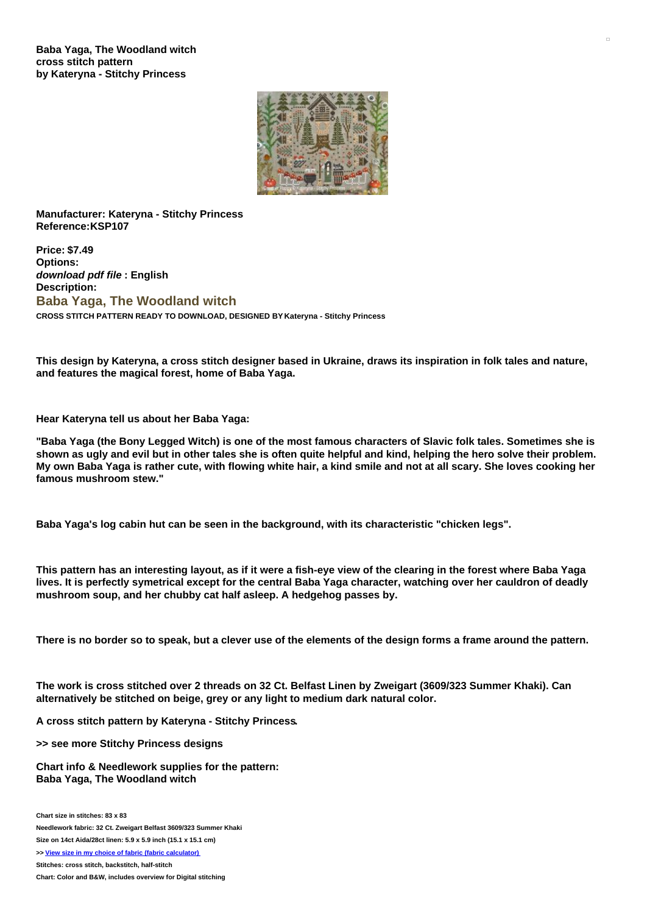**Baba Yaga, The Woodland witch cross stitch pattern by Kateryna - Stitchy Princess**



**Manufacturer: Kateryna - Stitchy Princess Reference:KSP107**

**Price: \$7.49 Options:** *download pdf file* **: English Description: Baba Yaga, The Woodland witch CROSS STITCH PATTERN READY TO DOWNLOAD, DESIGNED BY Kateryna - Stitchy Princess**

This design by Kateryna, a cross stitch designer based in Ukraine, draws its inspiration in folk tales and nature, **and features the magical forest, home of Baba Yaga.**

**Hear Kateryna tell us about her Baba Yaga:**

"Baba Yaga (the Bony Legged Witch) is one of the most famous characters of Slavic folk tales. Sometimes she is shown as ugly and evil but in other tales she is often quite helpful and kind, helping the hero solve their problem. My own Baba Yaga is rather cute, with flowing white hair, a kind smile and not at all scary. She loves cooking her **famous mushroom stew."**

**Baba Yaga's log cabin hut can be seen in the background, with its characteristic "chicken legs".**

This pattern has an interesting layout, as if it were a fish-eye view of the clearing in the forest where Baba Yaga lives. It is perfectly symetrical except for the central Baba Yaga character, watching over her cauldron of deadly **mushroom soup, and her chubby cat half asleep. A hedgehog passes by.**

There is no border so to speak, but a clever use of the elements of the design forms a frame around the pattern.

The work is cross stitched over 2 threads on 32 Ct. Belfast Linen by Zweigart (3609/323 Summer Khaki). Can **alternatively be stitched on beige, grey or any light to medium dark natural color.**

**A cross stitch pattern by Kateryna - Stitchy Princess.**

**>> see more Stitchy Princess designs**

**Chart info & Needlework supplies for the pattern: Baba Yaga, The Woodland witch**

**Chart size in stitches: 83 x 83 Needlework fabric: 32 Ct. Zweigart Belfast 3609/323 Summer Khaki Size on 14ct Aida/28ct linen: 5.9 x 5.9 inch (15.1 x 15.1 cm) >> View size in my choice of fabric (fabric [calculator\)](https://www.creativepoppypatterns.com/calculette-de-toile.php?products_id=&w=&h=)**

**Stitches: cross stitch, backstitch, half-stitch**

**Chart: Color and B&W, includes overview for Digital stitching**